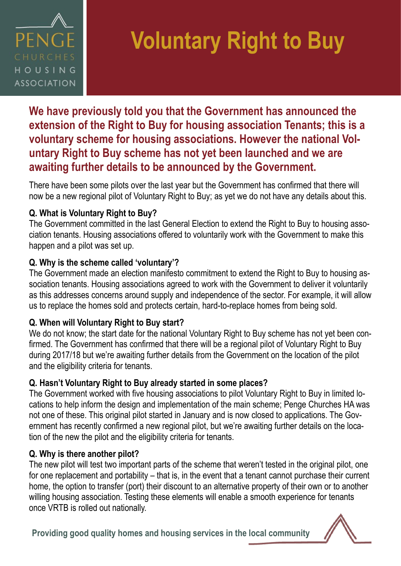

# **Voluntary Right to Buy**

**We have previously told you that the Government has announced the extension of the Right to Buy for housing association Tenants; this is a voluntary scheme for housing associations. However the national Voluntary Right to Buy scheme has not yet been launched and we are awaiting further details to be announced by the Government.** 

There have been some pilots over the last year but the Government has confirmed that there will now be a new regional pilot of Voluntary Right to Buy; as yet we do not have any details about this.

## **Q. What is Voluntary Right to Buy?**

The Government committed in the last General Election to extend the Right to Buy to housing association tenants. Housing associations offered to voluntarily work with the Government to make this happen and a pilot was set up.

## **Q. Why is the scheme called 'voluntary'?**

The Government made an election manifesto commitment to extend the Right to Buy to housing association tenants. Housing associations agreed to work with the Government to deliver it voluntarily as this addresses concerns around supply and independence of the sector. For example, it will allow us to replace the homes sold and protects certain, hard-to-replace homes from being sold.

## **Q. When will Voluntary Right to Buy start?**

We do not know; the start date for the national Voluntary Right to Buy scheme has not yet been confirmed. The Government has confirmed that there will be a regional pilot of Voluntary Right to Buy during 2017/18 but we're awaiting further details from the Government on the location of the pilot and the eligibility criteria for tenants.

## **Q. Hasn't Voluntary Right to Buy already started in some places?**

The Government worked with five housing associations to pilot Voluntary Right to Buy in limited locations to help inform the design and implementation of the main scheme; Penge Churches HA was not one of these. This original pilot started in January and is now closed to applications. The Government has recently confirmed a new regional pilot, but we're awaiting further details on the location of the new the pilot and the eligibility criteria for tenants.

## **Q. Why is there another pilot?**

The new pilot will test two important parts of the scheme that weren't tested in the original pilot, one for one replacement and portability – that is, in the event that a tenant cannot purchase their current home, the option to transfer (port) their discount to an alternative property of their own or to another willing housing association. Testing these elements will enable a smooth experience for tenants once VRTB is rolled out nationally.

**Providing good quality homes and housing services in the local community**